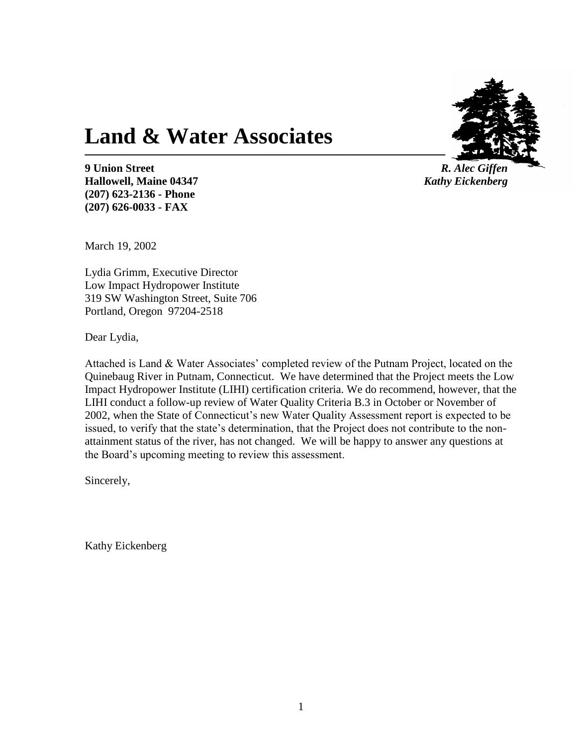

**9 Union Street** *R. Alec Giffen* **Hallowell, Maine 04347** *Kathy Eickenberg* **(207) 623-2136 - Phone (207) 626-0033 - FAX**

March 19, 2002

Lydia Grimm, Executive Director Low Impact Hydropower Institute 319 SW Washington Street, Suite 706 Portland, Oregon 97204-2518

**Land & Water Associates**

Dear Lydia,

Attached is Land & Water Associates' completed review of the Putnam Project, located on the Quinebaug River in Putnam, Connecticut. We have determined that the Project meets the Low Impact Hydropower Institute (LIHI) certification criteria. We do recommend, however, that the LIHI conduct a follow-up review of Water Quality Criteria B.3 in October or November of 2002, when the State of Connecticut's new Water Quality Assessment report is expected to be issued, to verify that the state's determination, that the Project does not contribute to the nonattainment status of the river, has not changed. We will be happy to answer any questions at the Board's upcoming meeting to review this assessment.

Sincerely,

Kathy Eickenberg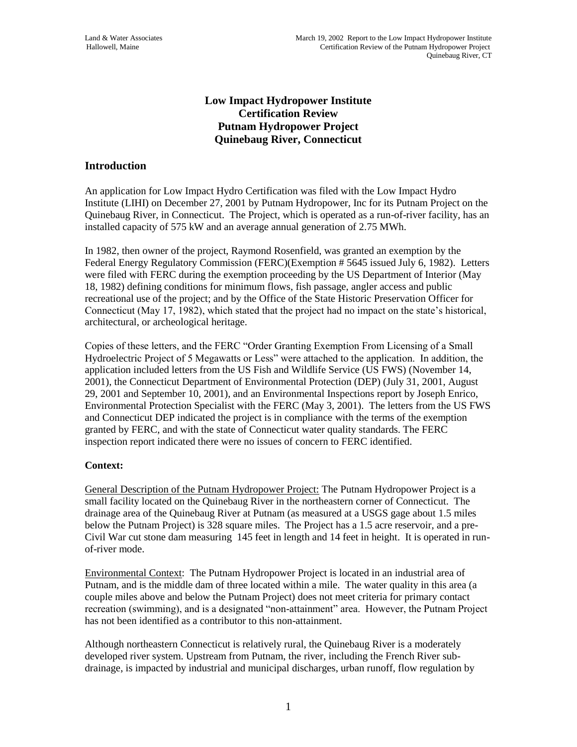# **Low Impact Hydropower Institute Certification Review Putnam Hydropower Project Quinebaug River, Connecticut**

# **Introduction**

An application for Low Impact Hydro Certification was filed with the Low Impact Hydro Institute (LIHI) on December 27, 2001 by Putnam Hydropower, Inc for its Putnam Project on the Quinebaug River, in Connecticut. The Project, which is operated as a run-of-river facility, has an installed capacity of 575 kW and an average annual generation of 2.75 MWh.

In 1982, then owner of the project, Raymond Rosenfield, was granted an exemption by the Federal Energy Regulatory Commission (FERC)(Exemption # 5645 issued July 6, 1982). Letters were filed with FERC during the exemption proceeding by the US Department of Interior (May 18, 1982) defining conditions for minimum flows, fish passage, angler access and public recreational use of the project; and by the Office of the State Historic Preservation Officer for Connecticut (May 17, 1982), which stated that the project had no impact on the state's historical, architectural, or archeological heritage.

Copies of these letters, and the FERC "Order Granting Exemption From Licensing of a Small Hydroelectric Project of 5 Megawatts or Less" were attached to the application. In addition, the application included letters from the US Fish and Wildlife Service (US FWS) (November 14, 2001), the Connecticut Department of Environmental Protection (DEP) (July 31, 2001, August 29, 2001 and September 10, 2001), and an Environmental Inspections report by Joseph Enrico, Environmental Protection Specialist with the FERC (May 3, 2001). The letters from the US FWS and Connecticut DEP indicated the project is in compliance with the terms of the exemption granted by FERC, and with the state of Connecticut water quality standards. The FERC inspection report indicated there were no issues of concern to FERC identified.

# **Context:**

General Description of the Putnam Hydropower Project: The Putnam Hydropower Project is a small facility located on the Quinebaug River in the northeastern corner of Connecticut. The drainage area of the Quinebaug River at Putnam (as measured at a USGS gage about 1.5 miles below the Putnam Project) is 328 square miles. The Project has a 1.5 acre reservoir, and a pre-Civil War cut stone dam measuring 145 feet in length and 14 feet in height. It is operated in runof-river mode.

Environmental Context: The Putnam Hydropower Project is located in an industrial area of Putnam, and is the middle dam of three located within a mile. The water quality in this area (a couple miles above and below the Putnam Project) does not meet criteria for primary contact recreation (swimming), and is a designated "non-attainment" area. However, the Putnam Project has not been identified as a contributor to this non-attainment.

Although northeastern Connecticut is relatively rural, the Quinebaug River is a moderately developed river system. Upstream from Putnam, the river, including the French River subdrainage, is impacted by industrial and municipal discharges, urban runoff, flow regulation by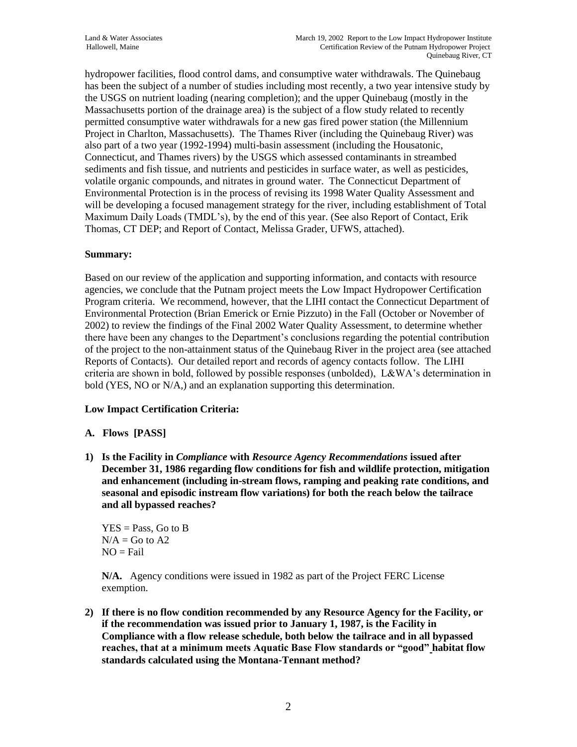hydropower facilities, flood control dams, and consumptive water withdrawals. The Quinebaug has been the subject of a number of studies including most recently, a two year intensive study by the USGS on nutrient loading (nearing completion); and the upper Quinebaug (mostly in the Massachusetts portion of the drainage area) is the subject of a flow study related to recently permitted consumptive water withdrawals for a new gas fired power station (the Millennium Project in Charlton, Massachusetts). The Thames River (including the Quinebaug River) was also part of a two year (1992-1994) multi-basin assessment (including the Housatonic, Connecticut, and Thames rivers) by the USGS which assessed contaminants in streambed sediments and fish tissue, and nutrients and pesticides in surface water, as well as pesticides, volatile organic compounds, and nitrates in ground water. The Connecticut Department of Environmental Protection is in the process of revising its 1998 Water Quality Assessment and will be developing a focused management strategy for the river, including establishment of Total Maximum Daily Loads (TMDL's), by the end of this year. (See also Report of Contact, Erik Thomas, CT DEP; and Report of Contact, Melissa Grader, UFWS, attached).

### **Summary:**

Based on our review of the application and supporting information, and contacts with resource agencies, we conclude that the Putnam project meets the Low Impact Hydropower Certification Program criteria. We recommend, however, that the LIHI contact the Connecticut Department of Environmental Protection (Brian Emerick or Ernie Pizzuto) in the Fall (October or November of 2002) to review the findings of the Final 2002 Water Quality Assessment, to determine whether there have been any changes to the Department's conclusions regarding the potential contribution of the project to the non-attainment status of the Quinebaug River in the project area (see attached Reports of Contacts). Our detailed report and records of agency contacts follow. The LIHI criteria are shown in bold, followed by possible responses (unbolded), L&WA's determination in bold (YES, NO or N/A,) and an explanation supporting this determination.

# **Low Impact Certification Criteria:**

# **A. Flows [PASS]**

**1) Is the Facility in** *Compliance* **with** *Resource Agency Recommendations* **issued after December 31, 1986 regarding flow conditions for fish and wildlife protection, mitigation and enhancement (including in-stream flows, ramping and peaking rate conditions, and seasonal and episodic instream flow variations) for both the reach below the tailrace and all bypassed reaches?**

 $YES = Pass, Go to B$  $N/A =$  Go to A2  $NO = Fail$ 

**N/A.** Agency conditions were issued in 1982 as part of the Project FERC License exemption.

**2) If there is no flow condition recommended by any Resource Agency for the Facility, or if the recommendation was issued prior to January 1, 1987, is the Facility in Compliance with a flow release schedule, both below the tailrace and in all bypassed reaches, that at a minimum meets Aquatic Base Flow standards or "good" habitat flow standards calculated using the Montana-Tennant method?**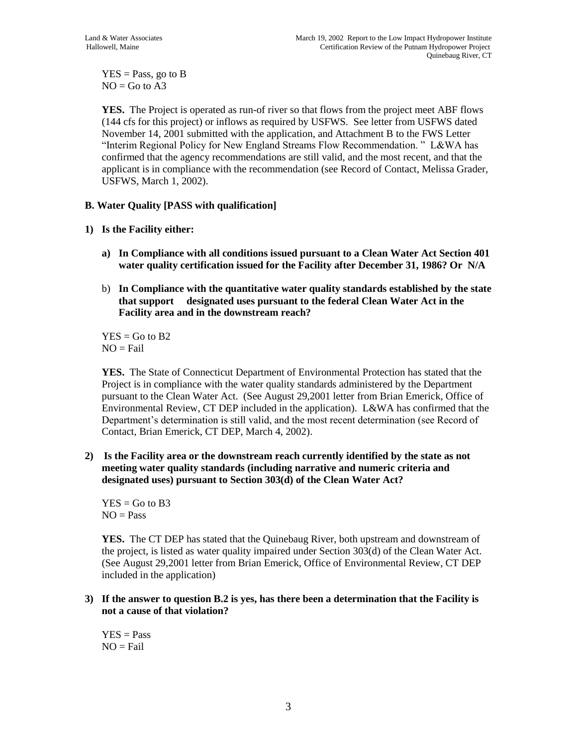$YES = Pass$ , go to B  $NO = Go$  to  $A3$ 

**YES.** The Project is operated as run-of river so that flows from the project meet ABF flows (144 cfs for this project) or inflows as required by USFWS. See letter from USFWS dated November 14, 2001 submitted with the application, and Attachment B to the FWS Letter "Interim Regional Policy for New England Streams Flow Recommendation. " L&WA has confirmed that the agency recommendations are still valid, and the most recent, and that the applicant is in compliance with the recommendation (see Record of Contact, Melissa Grader, USFWS, March 1, 2002).

# **B. Water Quality [PASS with qualification]**

# **1) Is the Facility either:**

- **a) In Compliance with all conditions issued pursuant to a Clean Water Act Section 401 water quality certification issued for the Facility after December 31, 1986? Or N/A**
- b) **In Compliance with the quantitative water quality standards established by the state that support designated uses pursuant to the federal Clean Water Act in the Facility area and in the downstream reach?**

 $YES = Go to B2$  $NO = Fail$ 

**YES.** The State of Connecticut Department of Environmental Protection has stated that the Project is in compliance with the water quality standards administered by the Department pursuant to the Clean Water Act. (See August 29,2001 letter from Brian Emerick, Office of Environmental Review, CT DEP included in the application). L&WA has confirmed that the Department's determination is still valid, and the most recent determination (see Record of Contact, Brian Emerick, CT DEP, March 4, 2002).

**2) Is the Facility area or the downstream reach currently identified by the state as not meeting water quality standards (including narrative and numeric criteria and designated uses) pursuant to Section 303(d) of the Clean Water Act?**

 $YES = Go to B3$  $NO = Pass$ 

**YES.** The CT DEP has stated that the Quinebaug River, both upstream and downstream of the project, is listed as water quality impaired under Section 303(d) of the Clean Water Act. (See August 29,2001 letter from Brian Emerick, Office of Environmental Review, CT DEP included in the application)

**3) If the answer to question B.2 is yes, has there been a determination that the Facility is not a cause of that violation?**

 $YES = Pass$  $NO = Fail$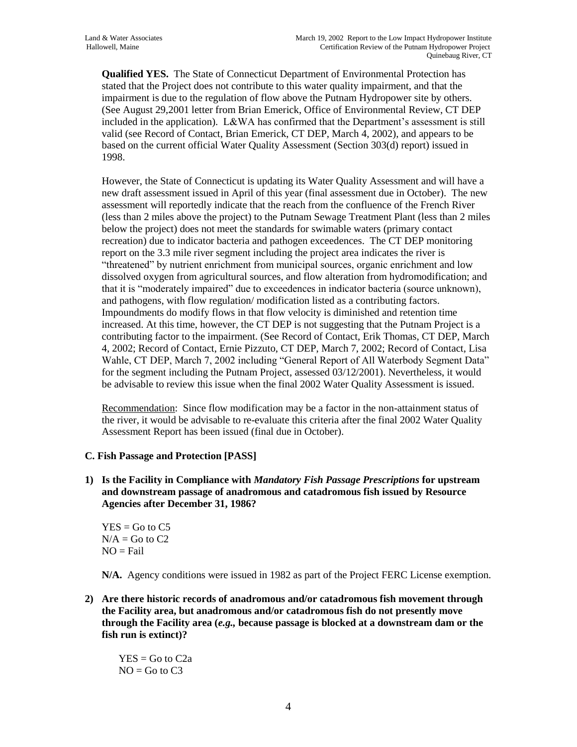**Qualified YES.** The State of Connecticut Department of Environmental Protection has stated that the Project does not contribute to this water quality impairment, and that the impairment is due to the regulation of flow above the Putnam Hydropower site by others. (See August 29,2001 letter from Brian Emerick, Office of Environmental Review, CT DEP included in the application). L&WA has confirmed that the Department's assessment is still valid (see Record of Contact, Brian Emerick, CT DEP, March 4, 2002), and appears to be based on the current official Water Quality Assessment (Section 303(d) report) issued in 1998.

However, the State of Connecticut is updating its Water Quality Assessment and will have a new draft assessment issued in April of this year (final assessment due in October). The new assessment will reportedly indicate that the reach from the confluence of the French River (less than 2 miles above the project) to the Putnam Sewage Treatment Plant (less than 2 miles below the project) does not meet the standards for swimable waters (primary contact recreation) due to indicator bacteria and pathogen exceedences. The CT DEP monitoring report on the 3.3 mile river segment including the project area indicates the river is "threatened" by nutrient enrichment from municipal sources, organic enrichment and low dissolved oxygen from agricultural sources, and flow alteration from hydromodification; and that it is "moderately impaired" due to exceedences in indicator bacteria (source unknown), and pathogens, with flow regulation/ modification listed as a contributing factors. Impoundments do modify flows in that flow velocity is diminished and retention time increased. At this time, however, the CT DEP is not suggesting that the Putnam Project is a contributing factor to the impairment. (See Record of Contact, Erik Thomas, CT DEP, March 4, 2002; Record of Contact, Ernie Pizzuto, CT DEP, March 7, 2002; Record of Contact, Lisa Wahle, CT DEP, March 7, 2002 including "General Report of All Waterbody Segment Data" for the segment including the Putnam Project, assessed 03/12/2001). Nevertheless, it would be advisable to review this issue when the final 2002 Water Quality Assessment is issued.

Recommendation: Since flow modification may be a factor in the non-attainment status of the river, it would be advisable to re-evaluate this criteria after the final 2002 Water Quality Assessment Report has been issued (final due in October).

# **C. Fish Passage and Protection [PASS]**

**1) Is the Facility in Compliance with** *Mandatory Fish Passage Prescriptions* **for upstream and downstream passage of anadromous and catadromous fish issued by Resource Agencies after December 31, 1986?**

 $YES = Go to C5$  $N/A =$  Go to C2  $NO = Fail$ 

**N/A.** Agency conditions were issued in 1982 as part of the Project FERC License exemption.

**2) Are there historic records of anadromous and/or catadromous fish movement through the Facility area, but anadromous and/or catadromous fish do not presently move through the Facility area (***e.g.,* **because passage is blocked at a downstream dam or the fish run is extinct)?** 

 $YES = Go to C2a$  $NO = Go$  to  $C3$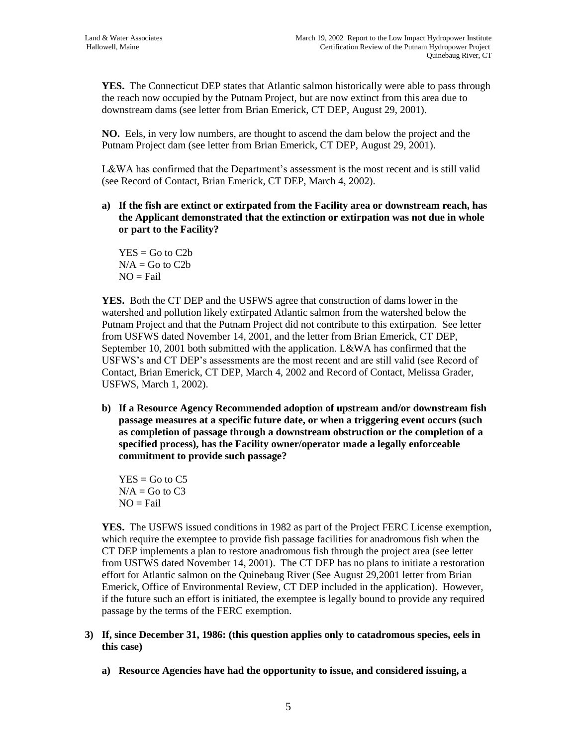**YES.** The Connecticut DEP states that Atlantic salmon historically were able to pass through the reach now occupied by the Putnam Project, but are now extinct from this area due to downstream dams (see letter from Brian Emerick, CT DEP, August 29, 2001).

**NO.** Eels, in very low numbers, are thought to ascend the dam below the project and the Putnam Project dam (see letter from Brian Emerick, CT DEP, August 29, 2001).

L&WA has confirmed that the Department's assessment is the most recent and is still valid (see Record of Contact, Brian Emerick, CT DEP, March 4, 2002).

**a) If the fish are extinct or extirpated from the Facility area or downstream reach, has the Applicant demonstrated that the extinction or extirpation was not due in whole or part to the Facility?**

 $YES = Go to C2b$  $N/A =$  Go to C2b  $NO = Fail$ 

**YES.** Both the CT DEP and the USFWS agree that construction of dams lower in the watershed and pollution likely extirpated Atlantic salmon from the watershed below the Putnam Project and that the Putnam Project did not contribute to this extirpation. See letter from USFWS dated November 14, 2001, and the letter from Brian Emerick, CT DEP, September 10, 2001 both submitted with the application. L&WA has confirmed that the USFWS's and CT DEP's assessments are the most recent and are still valid (see Record of Contact, Brian Emerick, CT DEP, March 4, 2002 and Record of Contact, Melissa Grader, USFWS, March 1, 2002).

**b) If a Resource Agency Recommended adoption of upstream and/or downstream fish passage measures at a specific future date, or when a triggering event occurs (such as completion of passage through a downstream obstruction or the completion of a specified process), has the Facility owner/operator made a legally enforceable commitment to provide such passage?**

 $YES = Go$  to  $C5$  $N/A =$  Go to C3  $NO = Fail$ 

**YES.** The USFWS issued conditions in 1982 as part of the Project FERC License exemption, which require the exemptee to provide fish passage facilities for anadromous fish when the CT DEP implements a plan to restore anadromous fish through the project area (see letter from USFWS dated November 14, 2001). The CT DEP has no plans to initiate a restoration effort for Atlantic salmon on the Quinebaug River (See August 29,2001 letter from Brian Emerick, Office of Environmental Review, CT DEP included in the application). However, if the future such an effort is initiated, the exemptee is legally bound to provide any required passage by the terms of the FERC exemption.

- **3) If, since December 31, 1986: (this question applies only to catadromous species, eels in this case)**
	- **a) Resource Agencies have had the opportunity to issue, and considered issuing, a**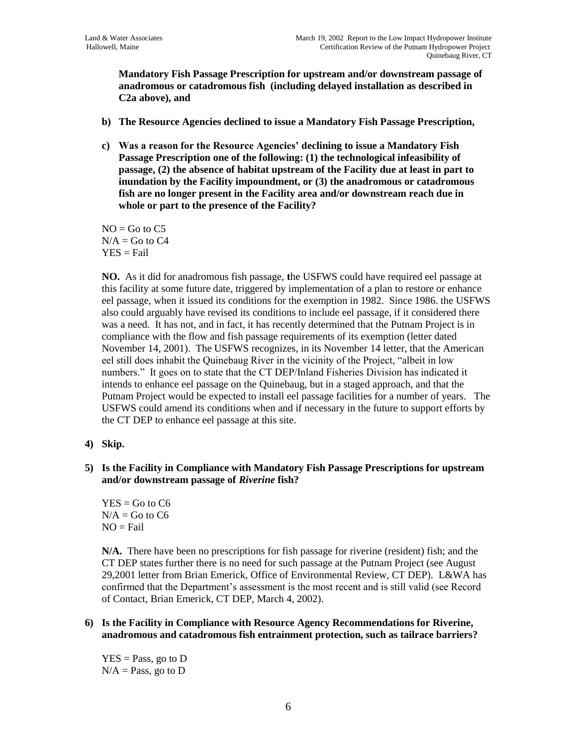**Mandatory Fish Passage Prescription for upstream and/or downstream passage of anadromous or catadromous fish (including delayed installation as described in C2a above), and**

- **b) The Resource Agencies declined to issue a Mandatory Fish Passage Prescription,**
- **c) Was a reason for the Resource Agencies' declining to issue a Mandatory Fish Passage Prescription one of the following: (1) the technological infeasibility of passage, (2) the absence of habitat upstream of the Facility due at least in part to inundation by the Facility impoundment, or (3) the anadromous or catadromous fish are no longer present in the Facility area and/or downstream reach due in whole or part to the presence of the Facility?**

 $NO = Go$  to  $C5$  $N/A =$  Go to C4  $YES = Fail$ 

**NO.** As it did for anadromous fish passage, **t**he USFWS could have required eel passage at this facility at some future date, triggered by implementation of a plan to restore or enhance eel passage, when it issued its conditions for the exemption in 1982. Since 1986. the USFWS also could arguably have revised its conditions to include eel passage, if it considered there was a need. It has not, and in fact, it has recently determined that the Putnam Project is in compliance with the flow and fish passage requirements of its exemption (letter dated November 14, 2001). The USFWS recognizes, in its November 14 letter, that the American eel still does inhabit the Quinebaug River in the vicinity of the Project, "albeit in low numbers." It goes on to state that the CT DEP/Inland Fisheries Division has indicated it intends to enhance eel passage on the Quinebaug, but in a staged approach, and that the Putnam Project would be expected to install eel passage facilities for a number of years. The USFWS could amend its conditions when and if necessary in the future to support efforts by the CT DEP to enhance eel passage at this site.

- **4) Skip.**
- **5) Is the Facility in Compliance with Mandatory Fish Passage Prescriptions for upstream and/or downstream passage of** *Riverine* **fish?**

 $YES = Go to C6$  $N/A =$  Go to C6  $NO = Fail$ 

**N/A.** There have been no prescriptions for fish passage for riverine (resident) fish; and the CT DEP states further there is no need for such passage at the Putnam Project (see August 29,2001 letter from Brian Emerick, Office of Environmental Review, CT DEP). L&WA has confirmed that the Department's assessment is the most recent and is still valid (see Record of Contact, Brian Emerick, CT DEP, March 4, 2002).

#### **6) Is the Facility in Compliance with Resource Agency Recommendations for Riverine, anadromous and catadromous fish entrainment protection, such as tailrace barriers?**

 $YES = Pass, go to D$  $N/A = Pass$ , go to D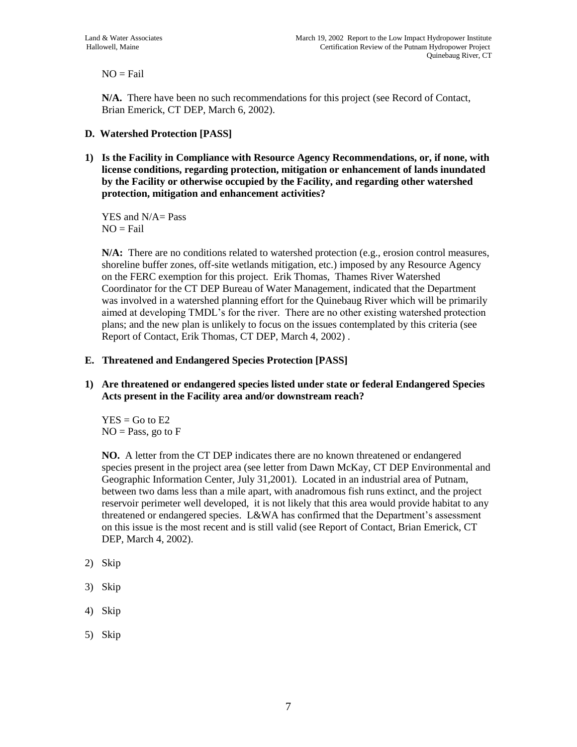$NO = Fail$ 

**N/A.** There have been no such recommendations for this project (see Record of Contact, Brian Emerick, CT DEP, March 6, 2002).

# **D. Watershed Protection [PASS]**

**1) Is the Facility in Compliance with Resource Agency Recommendations, or, if none, with license conditions, regarding protection, mitigation or enhancement of lands inundated by the Facility or otherwise occupied by the Facility, and regarding other watershed protection, mitigation and enhancement activities?**

YES and N/A= Pass  $NO = Fail$ 

**N/A:** There are no conditions related to watershed protection (e.g., erosion control measures, shoreline buffer zones, off-site wetlands mitigation, etc.) imposed by any Resource Agency on the FERC exemption for this project. Erik Thomas, Thames River Watershed Coordinator for the CT DEP Bureau of Water Management, indicated that the Department was involved in a watershed planning effort for the Quinebaug River which will be primarily aimed at developing TMDL's for the river. There are no other existing watershed protection plans; and the new plan is unlikely to focus on the issues contemplated by this criteria (see Report of Contact, Erik Thomas, CT DEP, March 4, 2002) .

### **E. Threatened and Endangered Species Protection [PASS]**

**1) Are threatened or endangered species listed under state or federal Endangered Species Acts present in the Facility area and/or downstream reach?**

 $YES = Go to E2$  $NO = Pass$ , go to  $F$ 

**NO.** A letter from the CT DEP indicates there are no known threatened or endangered species present in the project area (see letter from Dawn McKay, CT DEP Environmental and Geographic Information Center, July 31,2001). Located in an industrial area of Putnam, between two dams less than a mile apart, with anadromous fish runs extinct, and the project reservoir perimeter well developed, it is not likely that this area would provide habitat to any threatened or endangered species. L&WA has confirmed that the Department's assessment on this issue is the most recent and is still valid (see Report of Contact, Brian Emerick, CT DEP, March 4, 2002).

- 2) Skip
- 3) Skip
- 4) Skip
- 5) Skip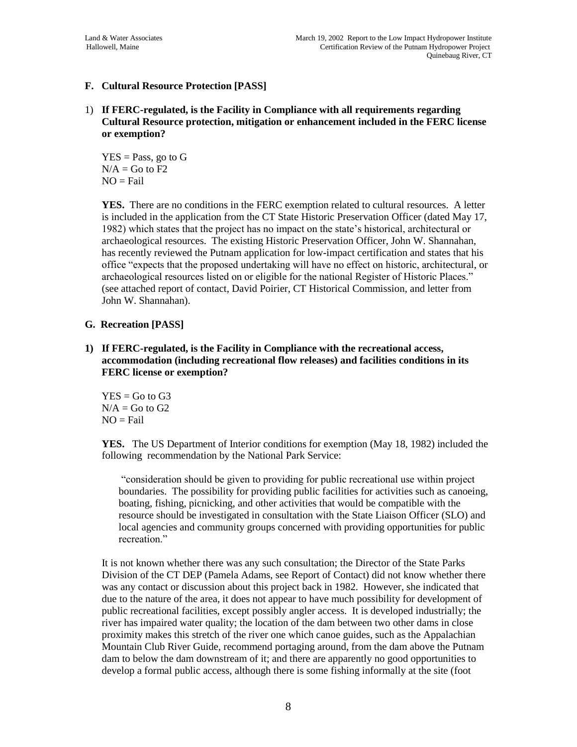# **F. Cultural Resource Protection [PASS]**

1) **If FERC-regulated, is the Facility in Compliance with all requirements regarding Cultural Resource protection, mitigation or enhancement included in the FERC license or exemption?**

 $YES = Pass$ , go to  $G$  $N/A =$  Go to F2  $NO = Fail$ 

**YES.** There are no conditions in the FERC exemption related to cultural resources. A letter is included in the application from the CT State Historic Preservation Officer (dated May 17, 1982) which states that the project has no impact on the state's historical, architectural or archaeological resources. The existing Historic Preservation Officer, John W. Shannahan, has recently reviewed the Putnam application for low-impact certification and states that his office "expects that the proposed undertaking will have no effect on historic, architectural, or archaeological resources listed on or eligible for the national Register of Historic Places." (see attached report of contact, David Poirier, CT Historical Commission, and letter from John W. Shannahan).

### **G. Recreation [PASS]**

**1) If FERC-regulated, is the Facility in Compliance with the recreational access, accommodation (including recreational flow releases) and facilities conditions in its FERC license or exemption?**

 $YES = Go to G3$  $N/A =$  Go to G2  $NO = Fail$ 

**YES.** The US Department of Interior conditions for exemption (May 18, 1982) included the following recommendation by the National Park Service:

"consideration should be given to providing for public recreational use within project boundaries. The possibility for providing public facilities for activities such as canoeing, boating, fishing, picnicking, and other activities that would be compatible with the resource should be investigated in consultation with the State Liaison Officer (SLO) and local agencies and community groups concerned with providing opportunities for public recreation."

It is not known whether there was any such consultation; the Director of the State Parks Division of the CT DEP (Pamela Adams, see Report of Contact) did not know whether there was any contact or discussion about this project back in 1982. However, she indicated that due to the nature of the area, it does not appear to have much possibility for development of public recreational facilities, except possibly angler access. It is developed industrially; the river has impaired water quality; the location of the dam between two other dams in close proximity makes this stretch of the river one which canoe guides, such as the Appalachian Mountain Club River Guide, recommend portaging around, from the dam above the Putnam dam to below the dam downstream of it; and there are apparently no good opportunities to develop a formal public access, although there is some fishing informally at the site (foot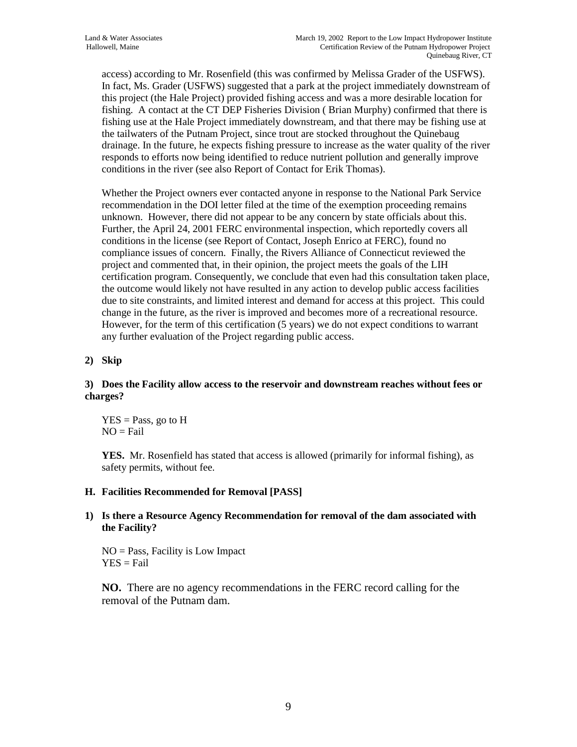access) according to Mr. Rosenfield (this was confirmed by Melissa Grader of the USFWS). In fact, Ms. Grader (USFWS) suggested that a park at the project immediately downstream of this project (the Hale Project) provided fishing access and was a more desirable location for fishing. A contact at the CT DEP Fisheries Division ( Brian Murphy) confirmed that there is fishing use at the Hale Project immediately downstream, and that there may be fishing use at the tailwaters of the Putnam Project, since trout are stocked throughout the Quinebaug drainage. In the future, he expects fishing pressure to increase as the water quality of the river responds to efforts now being identified to reduce nutrient pollution and generally improve conditions in the river (see also Report of Contact for Erik Thomas).

Whether the Project owners ever contacted anyone in response to the National Park Service recommendation in the DOI letter filed at the time of the exemption proceeding remains unknown. However, there did not appear to be any concern by state officials about this. Further, the April 24, 2001 FERC environmental inspection, which reportedly covers all conditions in the license (see Report of Contact, Joseph Enrico at FERC), found no compliance issues of concern. Finally, the Rivers Alliance of Connecticut reviewed the project and commented that, in their opinion, the project meets the goals of the LIH certification program. Consequently, we conclude that even had this consultation taken place, the outcome would likely not have resulted in any action to develop public access facilities due to site constraints, and limited interest and demand for access at this project. This could change in the future, as the river is improved and becomes more of a recreational resource. However, for the term of this certification (5 years) we do not expect conditions to warrant any further evaluation of the Project regarding public access.

# **2) Skip**

### **3) Does the Facility allow access to the reservoir and downstream reaches without fees or charges?**

 $YES = Pass$ , go to  $H$  $NO = Fail$ 

**YES.** Mr. Rosenfield has stated that access is allowed (primarily for informal fishing), as safety permits, without fee.

#### **H. Facilities Recommended for Removal [PASS]**

#### **1) Is there a Resource Agency Recommendation for removal of the dam associated with the Facility?**

NO = Pass, Facility is Low Impact  $YES = Fail$ 

**NO.** There are no agency recommendations in the FERC record calling for the removal of the Putnam dam.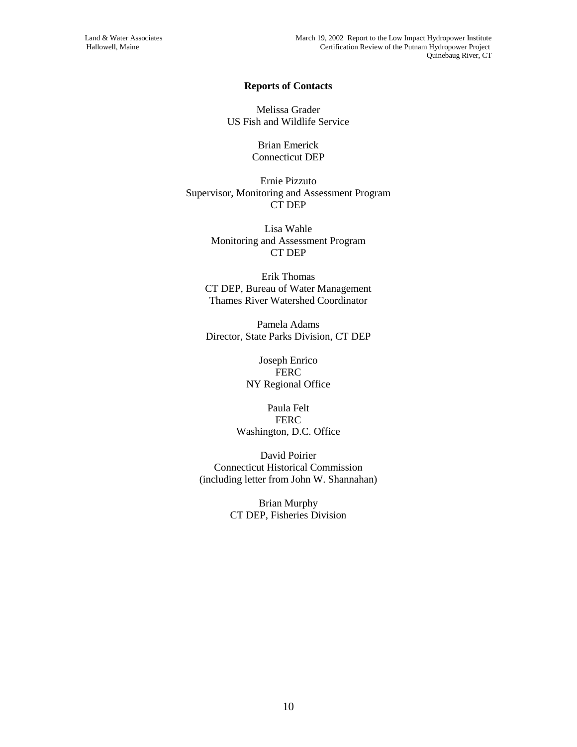#### **Reports of Contacts**

Melissa Grader US Fish and Wildlife Service

> Brian Emerick Connecticut DEP

Ernie Pizzuto Supervisor, Monitoring and Assessment Program CT DEP

> Lisa Wahle Monitoring and Assessment Program CT DEP

Erik Thomas CT DEP, Bureau of Water Management Thames River Watershed Coordinator

Pamela Adams Director, State Parks Division, CT DEP

> Joseph Enrico **FERC** NY Regional Office

Paula Felt **FERC** Washington, D.C. Office

David Poirier Connecticut Historical Commission (including letter from John W. Shannahan)

> Brian Murphy CT DEP, Fisheries Division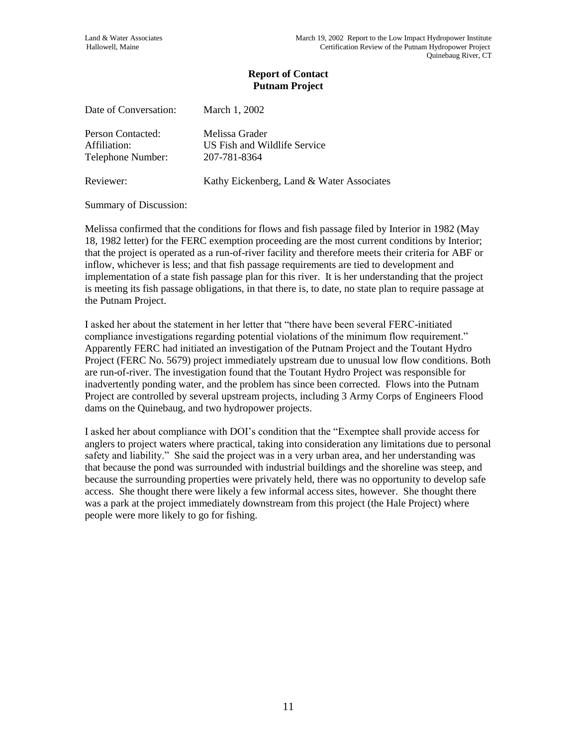| Date of Conversation: | March 1, 2002                |
|-----------------------|------------------------------|
| Person Contacted:     | Melissa Grader               |
| Affiliation:          | US Fish and Wildlife Service |
| Telephone Number:     | 207-781-8364                 |

Reviewer: Kathy Eickenberg, Land & Water Associates

Summary of Discussion:

Melissa confirmed that the conditions for flows and fish passage filed by Interior in 1982 (May 18, 1982 letter) for the FERC exemption proceeding are the most current conditions by Interior; that the project is operated as a run-of-river facility and therefore meets their criteria for ABF or inflow, whichever is less; and that fish passage requirements are tied to development and implementation of a state fish passage plan for this river. It is her understanding that the project is meeting its fish passage obligations, in that there is, to date, no state plan to require passage at the Putnam Project.

I asked her about the statement in her letter that "there have been several FERC-initiated compliance investigations regarding potential violations of the minimum flow requirement." Apparently FERC had initiated an investigation of the Putnam Project and the Toutant Hydro Project (FERC No. 5679) project immediately upstream due to unusual low flow conditions. Both are run-of-river. The investigation found that the Toutant Hydro Project was responsible for inadvertently ponding water, and the problem has since been corrected. Flows into the Putnam Project are controlled by several upstream projects, including 3 Army Corps of Engineers Flood dams on the Quinebaug, and two hydropower projects.

I asked her about compliance with DOI's condition that the "Exemptee shall provide access for anglers to project waters where practical, taking into consideration any limitations due to personal safety and liability." She said the project was in a very urban area, and her understanding was that because the pond was surrounded with industrial buildings and the shoreline was steep, and because the surrounding properties were privately held, there was no opportunity to develop safe access. She thought there were likely a few informal access sites, however. She thought there was a park at the project immediately downstream from this project (the Hale Project) where people were more likely to go for fishing.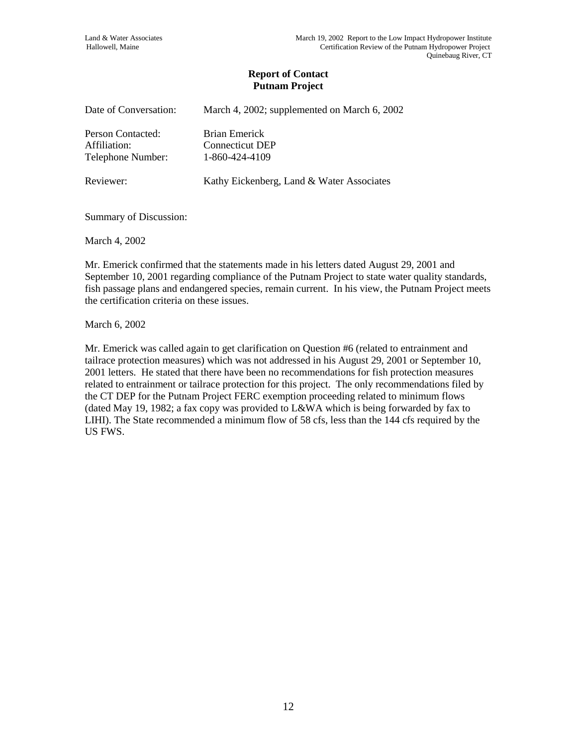| Date of Conversation:                                  | March 4, 2002; supplemented on March 6, 2002              |
|--------------------------------------------------------|-----------------------------------------------------------|
| Person Contacted:<br>Affiliation:<br>Telephone Number: | Brian Emerick<br><b>Connecticut DEP</b><br>1-860-424-4109 |
| Reviewer:                                              | Kathy Eickenberg, Land & Water Associates                 |

Summary of Discussion:

March 4, 2002

Mr. Emerick confirmed that the statements made in his letters dated August 29, 2001 and September 10, 2001 regarding compliance of the Putnam Project to state water quality standards, fish passage plans and endangered species, remain current. In his view, the Putnam Project meets the certification criteria on these issues.

March 6, 2002

Mr. Emerick was called again to get clarification on Question #6 (related to entrainment and tailrace protection measures) which was not addressed in his August 29, 2001 or September 10, 2001 letters. He stated that there have been no recommendations for fish protection measures related to entrainment or tailrace protection for this project. The only recommendations filed by the CT DEP for the Putnam Project FERC exemption proceeding related to minimum flows (dated May 19, 1982; a fax copy was provided to L&WA which is being forwarded by fax to LIHI). The State recommended a minimum flow of 58 cfs, less than the 144 cfs required by the US FWS.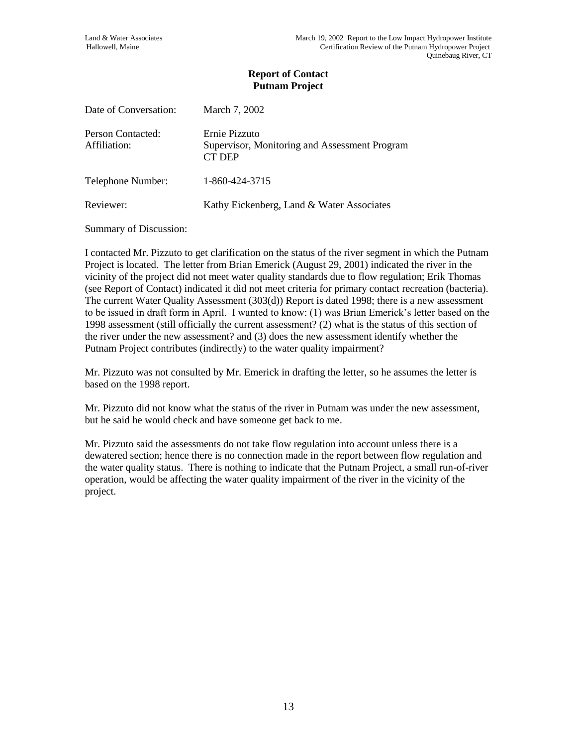| Date of Conversation:             | March 7, 2002                                                                   |
|-----------------------------------|---------------------------------------------------------------------------------|
| Person Contacted:<br>Affiliation: | Ernie Pizzuto<br>Supervisor, Monitoring and Assessment Program<br><b>CT DEP</b> |
| Telephone Number:                 | 1-860-424-3715                                                                  |
| Reviewer:                         | Kathy Eickenberg, Land & Water Associates                                       |

Summary of Discussion:

I contacted Mr. Pizzuto to get clarification on the status of the river segment in which the Putnam Project is located. The letter from Brian Emerick (August 29, 2001) indicated the river in the vicinity of the project did not meet water quality standards due to flow regulation; Erik Thomas (see Report of Contact) indicated it did not meet criteria for primary contact recreation (bacteria). The current Water Quality Assessment (303(d)) Report is dated 1998; there is a new assessment to be issued in draft form in April. I wanted to know: (1) was Brian Emerick's letter based on the 1998 assessment (still officially the current assessment? (2) what is the status of this section of the river under the new assessment? and (3) does the new assessment identify whether the Putnam Project contributes (indirectly) to the water quality impairment?

Mr. Pizzuto was not consulted by Mr. Emerick in drafting the letter, so he assumes the letter is based on the 1998 report.

Mr. Pizzuto did not know what the status of the river in Putnam was under the new assessment, but he said he would check and have someone get back to me.

Mr. Pizzuto said the assessments do not take flow regulation into account unless there is a dewatered section; hence there is no connection made in the report between flow regulation and the water quality status. There is nothing to indicate that the Putnam Project, a small run-of-river operation, would be affecting the water quality impairment of the river in the vicinity of the project.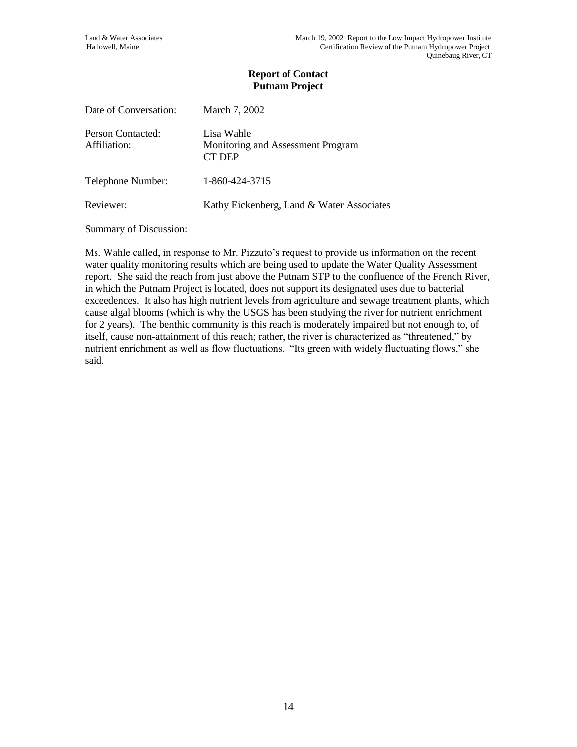| Date of Conversation:             | March 7, 2002                                             |
|-----------------------------------|-----------------------------------------------------------|
| Person Contacted:<br>Affiliation: | Lisa Wahle<br>Monitoring and Assessment Program<br>CT DEP |
| Telephone Number:                 | 1-860-424-3715                                            |
| Reviewer:                         | Kathy Eickenberg, Land & Water Associates                 |

Summary of Discussion:

Ms. Wahle called, in response to Mr. Pizzuto's request to provide us information on the recent water quality monitoring results which are being used to update the Water Quality Assessment report. She said the reach from just above the Putnam STP to the confluence of the French River, in which the Putnam Project is located, does not support its designated uses due to bacterial exceedences. It also has high nutrient levels from agriculture and sewage treatment plants, which cause algal blooms (which is why the USGS has been studying the river for nutrient enrichment for 2 years). The benthic community is this reach is moderately impaired but not enough to, of itself, cause non-attainment of this reach; rather, the river is characterized as "threatened," by nutrient enrichment as well as flow fluctuations. "Its green with widely fluctuating flows," she said.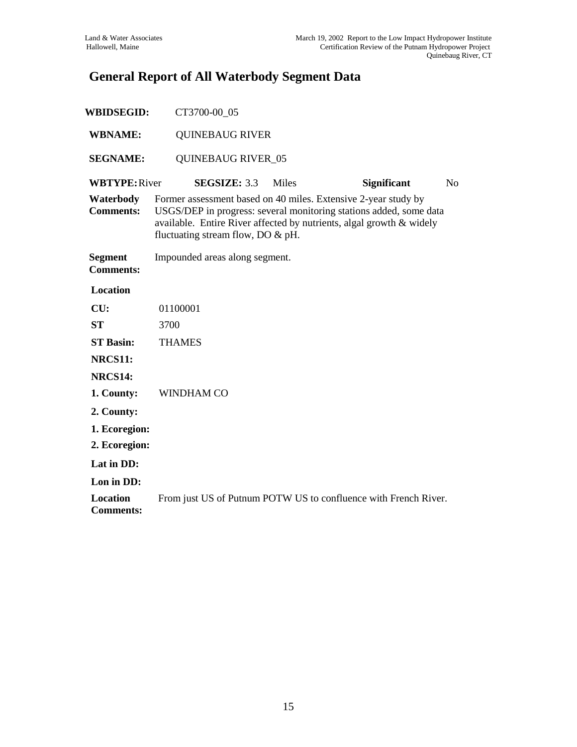# **General Report of All Waterbody Segment Data**

| <b>WBIDSEGID:</b>                   | CT3700-00_05                                                                                                                                                                                                                                         |              |                    |                |
|-------------------------------------|------------------------------------------------------------------------------------------------------------------------------------------------------------------------------------------------------------------------------------------------------|--------------|--------------------|----------------|
| <b>WBNAME:</b>                      | <b>QUINEBAUG RIVER</b>                                                                                                                                                                                                                               |              |                    |                |
| <b>SEGNAME:</b>                     | <b>QUINEBAUG RIVER_05</b>                                                                                                                                                                                                                            |              |                    |                |
| <b>WBTYPE: River</b>                | <b>SEGSIZE: 3.3</b>                                                                                                                                                                                                                                  | <b>Miles</b> | <b>Significant</b> | N <sub>o</sub> |
| Waterbody<br><b>Comments:</b>       | Former assessment based on 40 miles. Extensive 2-year study by<br>USGS/DEP in progress: several monitoring stations added, some data<br>available. Entire River affected by nutrients, algal growth & widely<br>fluctuating stream flow, DO $\&$ pH. |              |                    |                |
| <b>Segment</b><br><b>Comments:</b>  | Impounded areas along segment.                                                                                                                                                                                                                       |              |                    |                |
| <b>Location</b>                     |                                                                                                                                                                                                                                                      |              |                    |                |
| CU:                                 | 01100001                                                                                                                                                                                                                                             |              |                    |                |
| <b>ST</b>                           | 3700                                                                                                                                                                                                                                                 |              |                    |                |
| <b>ST Basin:</b>                    | <b>THAMES</b>                                                                                                                                                                                                                                        |              |                    |                |
| NRCS11:                             |                                                                                                                                                                                                                                                      |              |                    |                |
| NRCS14:                             |                                                                                                                                                                                                                                                      |              |                    |                |
| 1. County:                          | <b>WINDHAM CO</b>                                                                                                                                                                                                                                    |              |                    |                |
| 2. County:                          |                                                                                                                                                                                                                                                      |              |                    |                |
| 1. Ecoregion:                       |                                                                                                                                                                                                                                                      |              |                    |                |
| 2. Ecoregion:                       |                                                                                                                                                                                                                                                      |              |                    |                |
| Lat in DD:                          |                                                                                                                                                                                                                                                      |              |                    |                |
| Lon in DD:                          |                                                                                                                                                                                                                                                      |              |                    |                |
| <b>Location</b><br><b>Comments:</b> | From just US of Putnum POTW US to confluence with French River.                                                                                                                                                                                      |              |                    |                |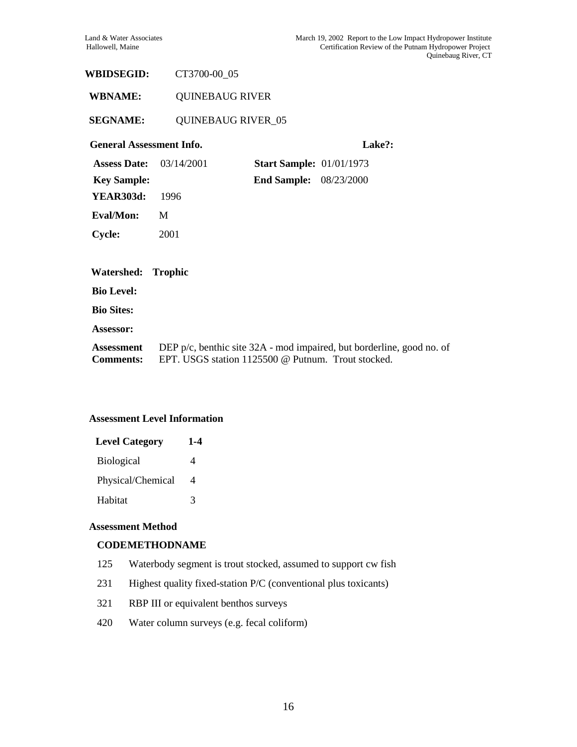# **WBIDSEGID:** CT3700-00\_05

**WBNAME:** QUINEBAUG RIVER

#### **SEGNAME:** QUINEBAUG RIVER\_05

#### **General Assessment Info. Lake?:**

| <b>Assess Date:</b> $03/14/2001$ |                | <b>Start Sample: 01/01/1973</b> |  |
|----------------------------------|----------------|---------------------------------|--|
| <b>Key Sample:</b>               |                | <b>End Sample:</b> 08/23/2000   |  |
| <b>YEAR303d:</b>                 | 1996           |                                 |  |
| Eval/Mon:                        | M              |                                 |  |
| <b>Cycle:</b>                    | 2001           |                                 |  |
|                                  |                |                                 |  |
|                                  |                |                                 |  |
| Watershed:                       | <b>Trophic</b> |                                 |  |
| <b>Bio Level:</b>                |                |                                 |  |
| <b>Bio Sites:</b>                |                |                                 |  |
| Assessor:                        |                |                                 |  |

#### **Assessment Level Information**

| <b>Level Category</b> | 1-4 |
|-----------------------|-----|
| <b>Biological</b>     | 4   |
| Physical/Chemical     | 4   |
| Habitat               | 3   |

#### **Assessment Method**

#### **CODEMETHODNAME**

- 125 Waterbody segment is trout stocked, assumed to support cw fish
- 231 Highest quality fixed-station P/C (conventional plus toxicants)
- 321 RBP III or equivalent benthos surveys
- 420 Water column surveys (e.g. fecal coliform)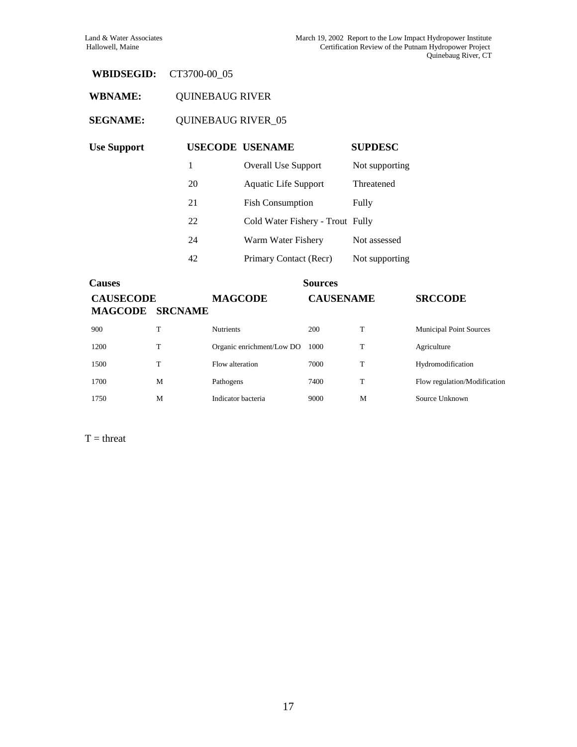# **WBIDSEGID:** CT3700-00\_05

# **WBNAME:** QUINEBAUG RIVER

# **SEGNAME:** QUINEBAUG RIVER\_05

| <b>Use Support</b> |    | <b>USECODE USENAME</b>           | <b>SUPDESC</b> |
|--------------------|----|----------------------------------|----------------|
|                    | 1  | <b>Overall Use Support</b>       | Not supporting |
|                    | 20 | Aquatic Life Support             | Threatened     |
|                    | 21 | <b>Fish Consumption</b>          | Fully          |
|                    | 22 | Cold Water Fishery - Trout Fully |                |
|                    | 24 | Warm Water Fishery               | Not assessed   |
|                    | 42 | Primary Contact (Recr)           | Not supporting |

| <b>Causes</b>                      |                |                           | <b>Sources</b>   |   |                                |
|------------------------------------|----------------|---------------------------|------------------|---|--------------------------------|
| <b>CAUSECODE</b><br><b>MAGCODE</b> | <b>SRCNAME</b> | <b>MAGCODE</b>            | <b>CAUSENAME</b> |   | <b>SRCCODE</b>                 |
| 900                                | T              | <b>Nutrients</b>          | 200              | T | <b>Municipal Point Sources</b> |
| 1200                               | T              | Organic enrichment/Low DO | 1000             | T | Agriculture                    |
| 1500                               | T              | Flow alteration           | 7000             | T | Hydromodification              |
| 1700                               | M              | Pathogens                 | 7400             | T | Flow regulation/Modification   |
| 1750                               | M              | Indicator bacteria        | 9000             | M | Source Unknown                 |

 $T = threat$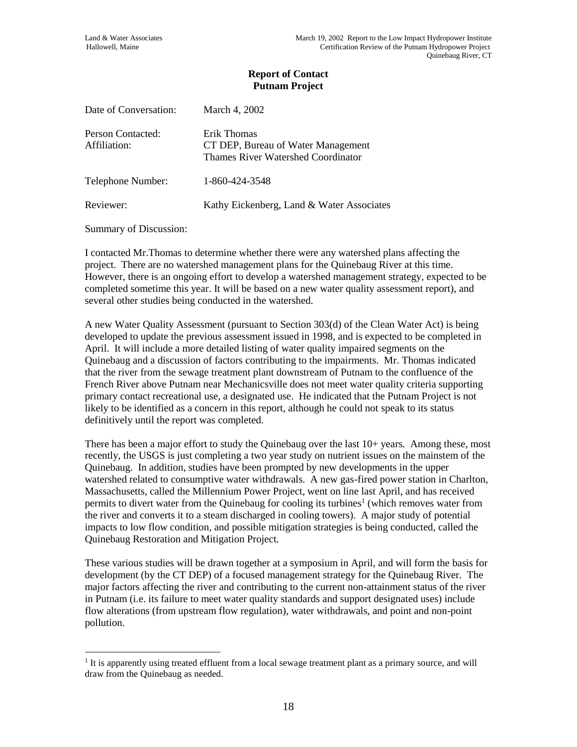| Date of Conversation:             | March 4, 2002                                                                           |
|-----------------------------------|-----------------------------------------------------------------------------------------|
| Person Contacted:<br>Affiliation: | Erik Thomas<br>CT DEP, Bureau of Water Management<br>Thames River Watershed Coordinator |
| Telephone Number:                 | 1-860-424-3548                                                                          |
| Reviewer:                         | Kathy Eickenberg, Land & Water Associates                                               |

Summary of Discussion:

 $\overline{a}$ 

I contacted Mr.Thomas to determine whether there were any watershed plans affecting the project. There are no watershed management plans for the Quinebaug River at this time. However, there is an ongoing effort to develop a watershed management strategy, expected to be completed sometime this year. It will be based on a new water quality assessment report), and several other studies being conducted in the watershed.

A new Water Quality Assessment (pursuant to Section 303(d) of the Clean Water Act) is being developed to update the previous assessment issued in 1998, and is expected to be completed in April. It will include a more detailed listing of water quality impaired segments on the Quinebaug and a discussion of factors contributing to the impairments. Mr. Thomas indicated that the river from the sewage treatment plant downstream of Putnam to the confluence of the French River above Putnam near Mechanicsville does not meet water quality criteria supporting primary contact recreational use, a designated use. He indicated that the Putnam Project is not likely to be identified as a concern in this report, although he could not speak to its status definitively until the report was completed.

There has been a major effort to study the Quinebaug over the last 10+ years. Among these, most recently, the USGS is just completing a two year study on nutrient issues on the mainstem of the Quinebaug. In addition, studies have been prompted by new developments in the upper watershed related to consumptive water withdrawals. A new gas-fired power station in Charlton, Massachusetts, called the Millennium Power Project, went on line last April, and has received permits to divert water from the Quinebaug for cooling its turbines<sup>1</sup> (which removes water from the river and converts it to a steam discharged in cooling towers). A major study of potential impacts to low flow condition, and possible mitigation strategies is being conducted, called the Quinebaug Restoration and Mitigation Project.

These various studies will be drawn together at a symposium in April, and will form the basis for development (by the CT DEP) of a focused management strategy for the Quinebaug River. The major factors affecting the river and contributing to the current non-attainment status of the river in Putnam (i.e. its failure to meet water quality standards and support designated uses) include flow alterations (from upstream flow regulation), water withdrawals, and point and non-point pollution.

<sup>&</sup>lt;sup>1</sup> It is apparently using treated effluent from a local sewage treatment plant as a primary source, and will draw from the Quinebaug as needed.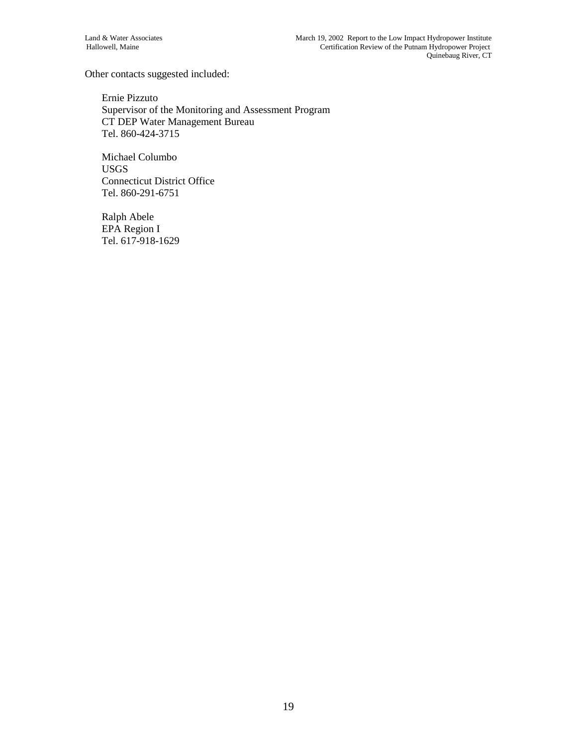Other contacts suggested included:

Ernie Pizzuto Supervisor of the Monitoring and Assessment Program CT DEP Water Management Bureau Tel. 860-424-3715

Michael Columbo USGS Connecticut District Office Tel. 860-291-6751

Ralph Abele EPA Region I Tel. 617-918-1629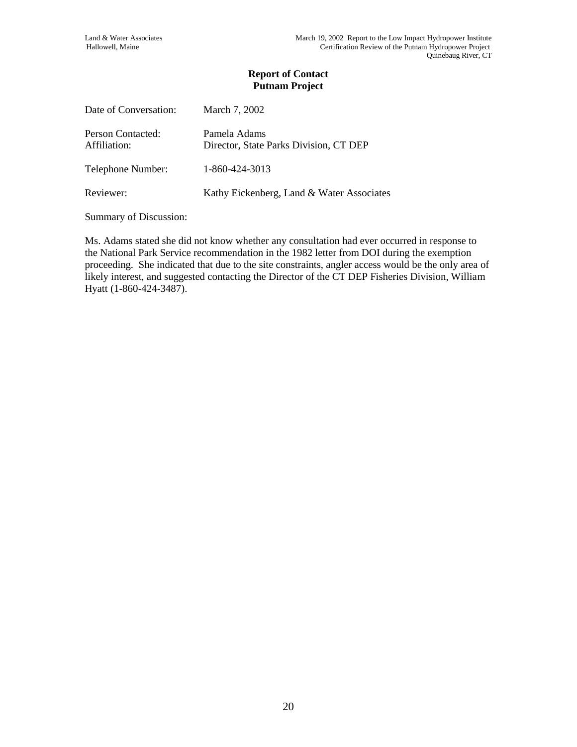| March 7, 2002                                          |
|--------------------------------------------------------|
| Pamela Adams<br>Director, State Parks Division, CT DEP |
| 1-860-424-3013                                         |
| Kathy Eickenberg, Land & Water Associates              |
|                                                        |

Summary of Discussion:

Ms. Adams stated she did not know whether any consultation had ever occurred in response to the National Park Service recommendation in the 1982 letter from DOI during the exemption proceeding. She indicated that due to the site constraints, angler access would be the only area of likely interest, and suggested contacting the Director of the CT DEP Fisheries Division, William Hyatt (1-860-424-3487).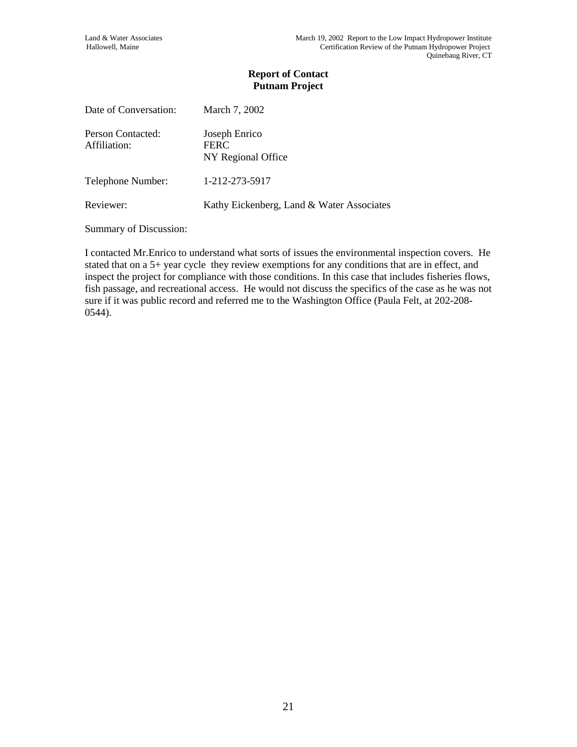| Date of Conversation:             | March 7, 2002                                      |
|-----------------------------------|----------------------------------------------------|
| Person Contacted:<br>Affiliation: | Joseph Enrico<br><b>FERC</b><br>NY Regional Office |
| Telephone Number:                 | 1-212-273-5917                                     |
| Reviewer:                         | Kathy Eickenberg, Land & Water Associates          |

Summary of Discussion:

I contacted Mr.Enrico to understand what sorts of issues the environmental inspection covers. He stated that on a 5+ year cycle they review exemptions for any conditions that are in effect, and inspect the project for compliance with those conditions. In this case that includes fisheries flows, fish passage, and recreational access. He would not discuss the specifics of the case as he was not sure if it was public record and referred me to the Washington Office (Paula Felt, at 202-208- 0544).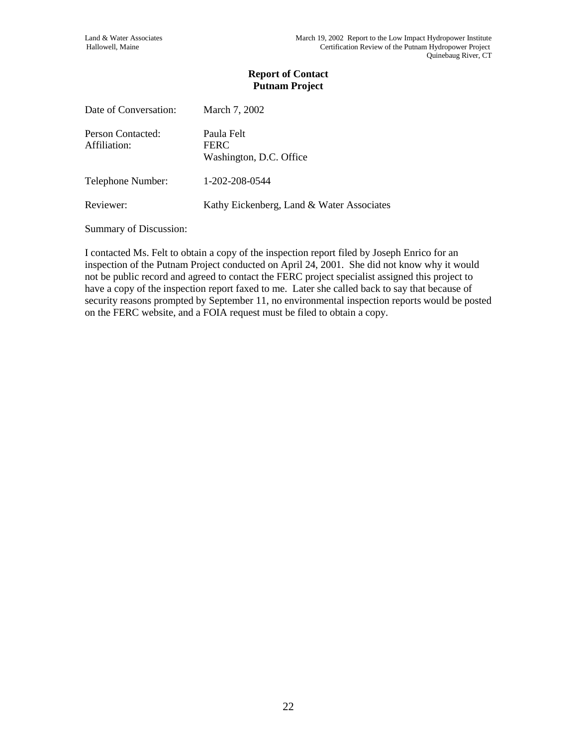| Date of Conversation:             | March 7, 2002                                        |
|-----------------------------------|------------------------------------------------------|
| Person Contacted:<br>Affiliation: | Paula Felt<br><b>FERC</b><br>Washington, D.C. Office |
| Telephone Number:                 | 1-202-208-0544                                       |
| Reviewer:                         | Kathy Eickenberg, Land & Water Associates            |

Summary of Discussion:

I contacted Ms. Felt to obtain a copy of the inspection report filed by Joseph Enrico for an inspection of the Putnam Project conducted on April 24, 2001. She did not know why it would not be public record and agreed to contact the FERC project specialist assigned this project to have a copy of the inspection report faxed to me. Later she called back to say that because of security reasons prompted by September 11, no environmental inspection reports would be posted on the FERC website, and a FOIA request must be filed to obtain a copy.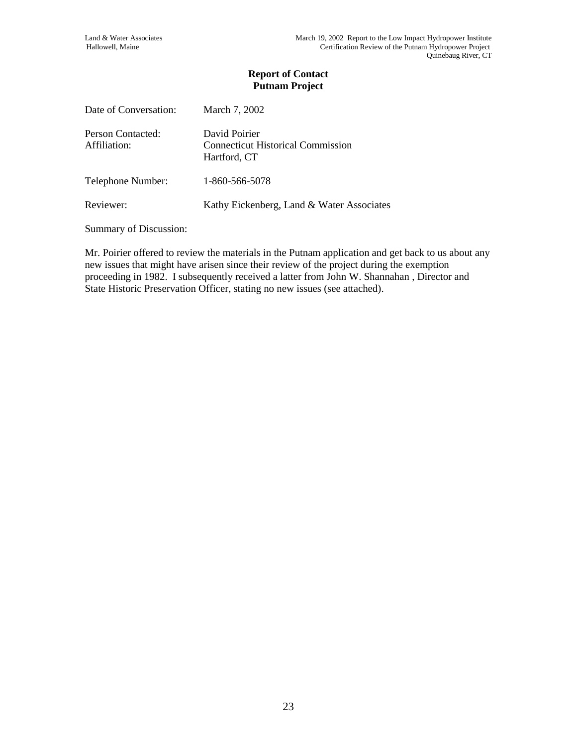| Date of Conversation:             | March 7, 2002                                                             |
|-----------------------------------|---------------------------------------------------------------------------|
| Person Contacted:<br>Affiliation: | David Poirier<br><b>Connecticut Historical Commission</b><br>Hartford, CT |
| Telephone Number:                 | 1-860-566-5078                                                            |
| Reviewer:                         | Kathy Eickenberg, Land & Water Associates                                 |

Summary of Discussion:

Mr. Poirier offered to review the materials in the Putnam application and get back to us about any new issues that might have arisen since their review of the project during the exemption proceeding in 1982. I subsequently received a latter from John W. Shannahan , Director and State Historic Preservation Officer, stating no new issues (see attached).